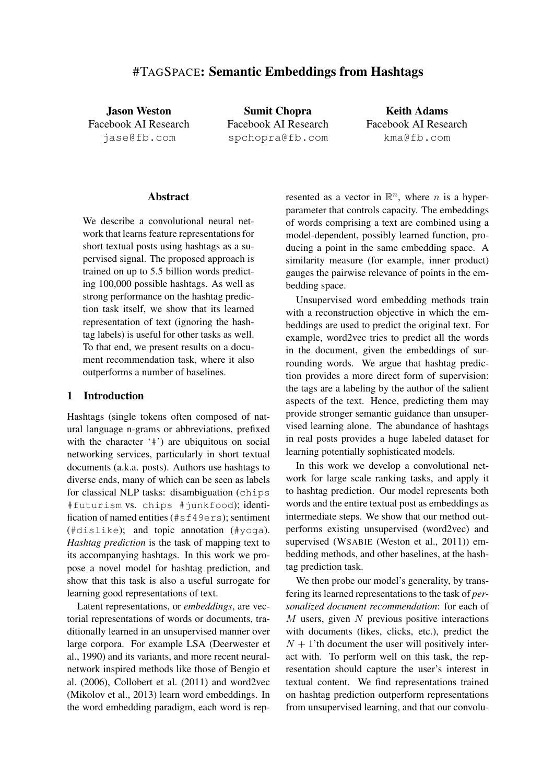# #TAGSPACE: Semantic Embeddings from Hashtags

Jason Weston Facebook AI Research jase@fb.com

Sumit Chopra Facebook AI Research spchopra@fb.com

Keith Adams Facebook AI Research kma@fb.com

#### **Abstract**

We describe a convolutional neural network that learns feature representations for short textual posts using hashtags as a supervised signal. The proposed approach is trained on up to 5.5 billion words predicting 100,000 possible hashtags. As well as strong performance on the hashtag prediction task itself, we show that its learned representation of text (ignoring the hashtag labels) is useful for other tasks as well. To that end, we present results on a document recommendation task, where it also outperforms a number of baselines.

# 1 Introduction

Hashtags (single tokens often composed of natural language n-grams or abbreviations, prefixed with the character '#') are ubiquitous on social networking services, particularly in short textual documents (a.k.a. posts). Authors use hashtags to diverse ends, many of which can be seen as labels for classical NLP tasks: disambiguation (chips #futurism vs. chips #junkfood); identification of named entities (#sf49ers); sentiment (#dislike); and topic annotation (#yoga). *Hashtag prediction* is the task of mapping text to its accompanying hashtags. In this work we propose a novel model for hashtag prediction, and show that this task is also a useful surrogate for learning good representations of text.

Latent representations, or *embeddings*, are vectorial representations of words or documents, traditionally learned in an unsupervised manner over large corpora. For example LSA (Deerwester et al., 1990) and its variants, and more recent neuralnetwork inspired methods like those of Bengio et al. (2006), Collobert et al. (2011) and word2vec (Mikolov et al., 2013) learn word embeddings. In the word embedding paradigm, each word is rep-

resented as a vector in  $\mathbb{R}^n$ , where *n* is a hyperparameter that controls capacity. The embeddings of words comprising a text are combined using a model-dependent, possibly learned function, producing a point in the same embedding space. A similarity measure (for example, inner product) gauges the pairwise relevance of points in the embedding space.

Unsupervised word embedding methods train with a reconstruction objective in which the embeddings are used to predict the original text. For example, word2vec tries to predict all the words in the document, given the embeddings of surrounding words. We argue that hashtag prediction provides a more direct form of supervision: the tags are a labeling by the author of the salient aspects of the text. Hence, predicting them may provide stronger semantic guidance than unsupervised learning alone. The abundance of hashtags in real posts provides a huge labeled dataset for learning potentially sophisticated models.

In this work we develop a convolutional network for large scale ranking tasks, and apply it to hashtag prediction. Our model represents both words and the entire textual post as embeddings as intermediate steps. We show that our method outperforms existing unsupervised (word2vec) and supervised (WSABIE (Weston et al., 2011)) embedding methods, and other baselines, at the hashtag prediction task.

We then probe our model's generality, by transfering its learned representations to the task of *personalized document recommendation*: for each of  $M$  users, given  $N$  previous positive interactions with documents (likes, clicks, etc.), predict the  $N + 1$ 'th document the user will positively interact with. To perform well on this task, the representation should capture the user's interest in textual content. We find representations trained on hashtag prediction outperform representations from unsupervised learning, and that our convolu-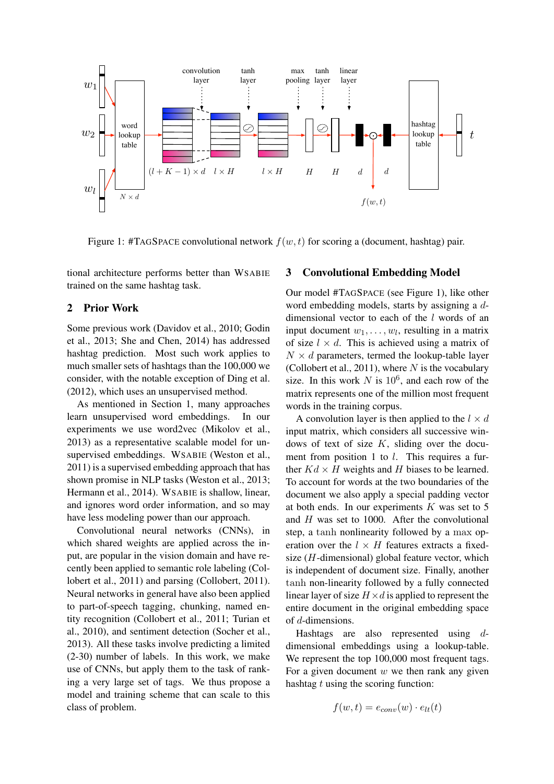

Figure 1: #TAGSPACE convolutional network  $f(w, t)$  for scoring a (document, hashtag) pair.

tional architecture performs better than WSABIE trained on the same hashtag task.

# 2 Prior Work

Some previous work (Davidov et al., 2010; Godin et al., 2013; She and Chen, 2014) has addressed hashtag prediction. Most such work applies to much smaller sets of hashtags than the 100,000 we consider, with the notable exception of Ding et al. (2012), which uses an unsupervised method.

As mentioned in Section 1, many approaches learn unsupervised word embeddings. In our experiments we use word2vec (Mikolov et al., 2013) as a representative scalable model for unsupervised embeddings. WSABIE (Weston et al., 2011) is a supervised embedding approach that has shown promise in NLP tasks (Weston et al., 2013; Hermann et al., 2014). WSABIE is shallow, linear, and ignores word order information, and so may have less modeling power than our approach.

Convolutional neural networks (CNNs), in which shared weights are applied across the input, are popular in the vision domain and have recently been applied to semantic role labeling (Collobert et al., 2011) and parsing (Collobert, 2011). Neural networks in general have also been applied to part-of-speech tagging, chunking, named entity recognition (Collobert et al., 2011; Turian et al., 2010), and sentiment detection (Socher et al., 2013). All these tasks involve predicting a limited (2-30) number of labels. In this work, we make use of CNNs, but apply them to the task of ranking a very large set of tags. We thus propose a model and training scheme that can scale to this class of problem.

# 3 Convolutional Embedding Model

Our model #TAGSPACE (see Figure 1), like other word embedding models, starts by assigning a ddimensional vector to each of the l words of an input document  $w_1, \ldots, w_l$ , resulting in a matrix of size  $l \times d$ . This is achieved using a matrix of  $N \times d$  parameters, termed the lookup-table layer (Collobert et al., 2011), where  $N$  is the vocabulary size. In this work  $N$  is  $10^6$ , and each row of the matrix represents one of the million most frequent words in the training corpus.

A convolution layer is then applied to the  $l \times d$ input matrix, which considers all successive windows of text of size  $K$ , sliding over the document from position 1 to l. This requires a further  $Kd \times H$  weights and H biases to be learned. To account for words at the two boundaries of the document we also apply a special padding vector at both ends. In our experiments  $K$  was set to 5 and H was set to 1000. After the convolutional step, a tanh nonlinearity followed by a max operation over the  $l \times H$  features extracts a fixedsize  $(H$ -dimensional) global feature vector, which is independent of document size. Finally, another tanh non-linearity followed by a fully connected linear layer of size  $H \times d$  is applied to represent the entire document in the original embedding space of d-dimensions.

Hashtags are also represented using ddimensional embeddings using a lookup-table. We represent the top 100,000 most frequent tags. For a given document  $w$  we then rank any given hashtag  $t$  using the scoring function:

$$
f(w,t) = e_{conv}(w) \cdot e_{lt}(t)
$$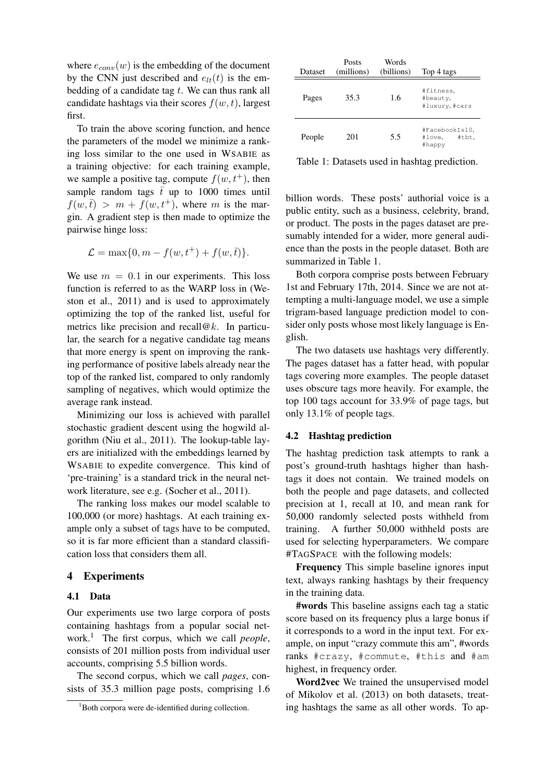where  $e_{conv}(w)$  is the embedding of the document by the CNN just described and  $e_{lt}(t)$  is the embedding of a candidate tag  $t$ . We can thus rank all candidate hashtags via their scores  $f(w, t)$ , largest first.

To train the above scoring function, and hence the parameters of the model we minimize a ranking loss similar to the one used in WSABIE as a training objective: for each training example, we sample a positive tag, compute  $f(w, t^+)$ , then sample random tags  $\bar{t}$  up to 1000 times until  $f(w,\bar{t}) > m + f(w,t^+),$  where m is the margin. A gradient step is then made to optimize the pairwise hinge loss:

$$
\mathcal{L} = \max\{0, m - f(w, t^+) + f(w, \overline{t})\}.
$$

We use  $m = 0.1$  in our experiments. This loss function is referred to as the WARP loss in (Weston et al., 2011) and is used to approximately optimizing the top of the ranked list, useful for metrics like precision and recall  $@k$ . In particular, the search for a negative candidate tag means that more energy is spent on improving the ranking performance of positive labels already near the top of the ranked list, compared to only randomly sampling of negatives, which would optimize the average rank instead.

Minimizing our loss is achieved with parallel stochastic gradient descent using the hogwild algorithm (Niu et al., 2011). The lookup-table layers are initialized with the embeddings learned by WSABIE to expedite convergence. This kind of 'pre-training' is a standard trick in the neural network literature, see e.g. (Socher et al., 2011).

The ranking loss makes our model scalable to 100,000 (or more) hashtags. At each training example only a subset of tags have to be computed, so it is far more efficient than a standard classification loss that considers them all.

# 4 Experiments

#### 4.1 Data

Our experiments use two large corpora of posts containing hashtags from a popular social network.<sup>1</sup> The first corpus, which we call *people*, consists of 201 million posts from individual user accounts, comprising 5.5 billion words.

The second corpus, which we call *pages*, consists of 35.3 million page posts, comprising 1.6

| Dataset | Posts<br>(millions) | Words<br>(billions) | Top 4 tags                                  |
|---------|---------------------|---------------------|---------------------------------------------|
| Pages   | 35.3                | 1.6                 | #fitness,<br>#beauty,<br>#luxury, #cars     |
| People  | 201                 | 5.5                 | #FacebookIs10,<br>#tbt.<br>#love.<br>#happy |

Table 1: Datasets used in hashtag prediction.

billion words. These posts' authorial voice is a public entity, such as a business, celebrity, brand, or product. The posts in the pages dataset are presumably intended for a wider, more general audience than the posts in the people dataset. Both are summarized in Table 1.

Both corpora comprise posts between February 1st and February 17th, 2014. Since we are not attempting a multi-language model, we use a simple trigram-based language prediction model to consider only posts whose most likely language is English.

The two datasets use hashtags very differently. The pages dataset has a fatter head, with popular tags covering more examples. The people dataset uses obscure tags more heavily. For example, the top 100 tags account for 33.9% of page tags, but only 13.1% of people tags.

#### 4.2 Hashtag prediction

The hashtag prediction task attempts to rank a post's ground-truth hashtags higher than hashtags it does not contain. We trained models on both the people and page datasets, and collected precision at 1, recall at 10, and mean rank for 50,000 randomly selected posts withheld from training. A further 50,000 withheld posts are used for selecting hyperparameters. We compare #TAGSPACE with the following models:

Frequency This simple baseline ignores input text, always ranking hashtags by their frequency in the training data.

#words This baseline assigns each tag a static score based on its frequency plus a large bonus if it corresponds to a word in the input text. For example, on input "crazy commute this am", #words ranks #crazy, #commute, #this and #am highest, in frequency order.

Word2vec We trained the unsupervised model of Mikolov et al. (2013) on both datasets, treating hashtags the same as all other words. To ap-

<sup>&</sup>lt;sup>1</sup>Both corpora were de-identified during collection.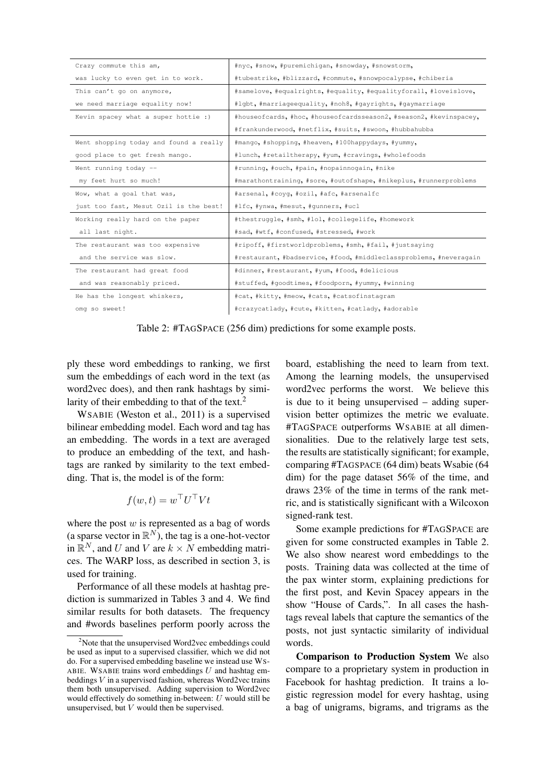| Crazy commute this am,                 | #nyc, #snow, #puremichigan, #snowday, #snowstorm,                  |
|----------------------------------------|--------------------------------------------------------------------|
| was lucky to even get in to work.      | #tubestrike, #blizzard, #commute, #snowpocalypse, #chiberia        |
| This can't go on anymore,              | #samelove, #equalrights, #equality, #equalityforall, #loveislove,  |
| we need marriage equality now!         | #lqbt, #marriageequality, #noh8, #qayrights, #qaymarriage          |
| Kevin spacey what a super hottie :)    | #houseofcards, #hoc, #houseofcardsseason2, #season2, #kevinspacey, |
|                                        | #frankunderwood, #netflix, #suits, #swoon, #hubbahubba             |
| Went shopping today and found a really | #mango, #shopping, #heaven, #100happydays, #yummy,                 |
| good place to get fresh mango.         | #lunch, #retailtherapy, #yum, #cravings, #wholefoods               |
| Went running today --                  | #running, #ouch, #pain, #nopainnogain, #nike                       |
| my feet hurt so much!                  | #marathontraining, #sore, #outofshape, #nikeplus, #runnerproblems  |
|                                        |                                                                    |
| Wow, what a goal that was,             | #arsenal, #coyq, #ozil, #afc, #arsenalfc                           |
| just too fast, Mesut Ozil is the best! | #lfc, #ynwa, #mesut, #qunners, #ucl                                |
| Working really hard on the paper       | #thestruggle, #smh, #lol, #collegelife, #homework                  |
| all last night.                        | #sad, #wtf, #confused, #stressed, #work                            |
| The restaurant was too expensive       | #ripoff, #firstworldproblems, #smh, #fail, #justsaying             |
| and the service was slow.              | #restaurant, #badservice, #food, #middleclassproblems, #neveragain |
| The restaurant had great food          | #dinner, #restaurant, #yum, #food, #delicious                      |
| and was reasonably priced.             | #stuffed, #goodtimes, #foodporn, #yummy, #winning                  |
| He has the longest whiskers,           | #cat, #kitty, #meow, #cats, #catsofinstagram                       |
| omg so sweet!                          | #crazycatlady, #cute, #kitten, #catlady, #adorable                 |

Table 2: #TAGSPACE (256 dim) predictions for some example posts.

ply these word embeddings to ranking, we first sum the embeddings of each word in the text (as word2vec does), and then rank hashtags by similarity of their embedding to that of the text.<sup>2</sup>

WSABIE (Weston et al., 2011) is a supervised bilinear embedding model. Each word and tag has an embedding. The words in a text are averaged to produce an embedding of the text, and hashtags are ranked by similarity to the text embedding. That is, the model is of the form:

$$
f(w,t) = w^{\top}U^{\top}Vt
$$

where the post  $w$  is represented as a bag of words (a sparse vector in  $\mathbb{R}^N$ ), the tag is a one-hot-vector in  $\mathbb{R}^N$ , and U and V are  $k \times N$  embedding matrices. The WARP loss, as described in section 3, is used for training.

Performance of all these models at hashtag prediction is summarized in Tables 3 and 4. We find similar results for both datasets. The frequency and #words baselines perform poorly across the board, establishing the need to learn from text. Among the learning models, the unsupervised word2vec performs the worst. We believe this is due to it being unsupervised – adding supervision better optimizes the metric we evaluate. #TAGSPACE outperforms WSABIE at all dimensionalities. Due to the relatively large test sets, the results are statistically significant; for example, comparing #TAGSPACE (64 dim) beats Wsabie (64 dim) for the page dataset 56% of the time, and draws 23% of the time in terms of the rank metric, and is statistically significant with a Wilcoxon signed-rank test.

Some example predictions for #TAGSPACE are given for some constructed examples in Table 2. We also show nearest word embeddings to the posts. Training data was collected at the time of the pax winter storm, explaining predictions for the first post, and Kevin Spacey appears in the show "House of Cards,". In all cases the hashtags reveal labels that capture the semantics of the posts, not just syntactic similarity of individual words.

Comparison to Production System We also compare to a proprietary system in production in Facebook for hashtag prediction. It trains a logistic regression model for every hashtag, using a bag of unigrams, bigrams, and trigrams as the

 $2^2$ Note that the unsupervised Word2vec embeddings could be used as input to a supervised classifier, which we did not do. For a supervised embedding baseline we instead use WS-ABIE. WSABIE trains word embeddings  $U$  and hashtag embeddings  $V$  in a supervised fashion, whereas Word2vec trains them both unsupervised. Adding supervision to Word2vec would effectively do something in-between:  $U$  would still be unsupervised, but V would then be supervised.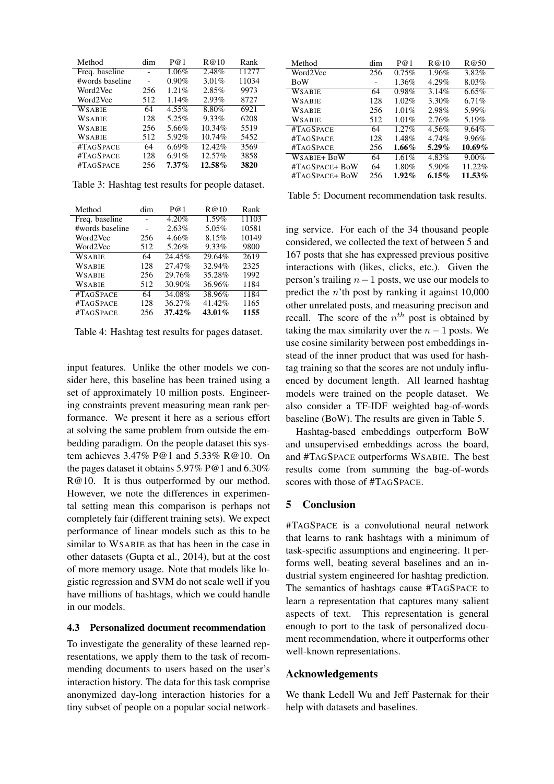| Method          | dim | P@1      | R@10   | Rank  |
|-----------------|-----|----------|--------|-------|
| Freq. baseline  |     | 1.06%    | 2.48%  | 11277 |
| #words baseline |     | $0.90\%$ | 3.01%  | 11034 |
| Word2Vec        | 256 | 1.21%    | 2.85%  | 9973  |
| Word2Vec        | 512 | 1.14%    | 2.93%  | 8727  |
| WSABIE          | 64  | $4.55\%$ | 8.80%  | 6921  |
| WSABIE          | 128 | 5.25%    | 9.33%  | 6208  |
| WSABIE          | 256 | 5.66%    | 10.34% | 5519  |
| WSABIE          | 512 | 5.92%    | 10.74% | 5452  |
| #TAGSPACE       | 64  | 6.69%    | 12.42% | 3569  |
| #TAGSPACE       | 128 | 6.91%    | 12.57% | 3858  |
| #TAGSPACE       | 256 | $7.37\%$ | 12.58% | 3820  |

Table 3: Hashtag test results for people dataset.

| Method          | dim | P@1       | R@10   | Rank  |
|-----------------|-----|-----------|--------|-------|
| Freq. baseline  |     | 4.20%     | 1.59%  | 11103 |
| #words baseline |     | 2.63%     | 5.05%  | 10581 |
| Word2Vec        | 256 | 4.66%     | 8.15%  | 10149 |
| Word2Vec        | 512 | 5.26%     | 9.33%  | 9800  |
| <b>WSABIE</b>   | 64  | 24.45%    | 29.64% | 2619  |
| <b>WSABIE</b>   | 128 | 27.47%    | 32.94% | 2325  |
| <b>WSABIE</b>   | 256 | 29.76%    | 35.28% | 1992  |
| WSABIE          | 512 | 30.90%    | 36.96% | 1184  |
| #TAGSPACE       | 64  | 34.08%    | 38.96% | 1184  |
| #TAGSPACE       | 128 | 36.27%    | 41.42% | 1165  |
| #TAGSPACE       | 256 | $37.42\%$ | 43.01% | 1155  |

Table 4: Hashtag test results for pages dataset.

input features. Unlike the other models we consider here, this baseline has been trained using a set of approximately 10 million posts. Engineering constraints prevent measuring mean rank performance. We present it here as a serious effort at solving the same problem from outside the embedding paradigm. On the people dataset this system achieves 3.47% P@1 and 5.33% R@10. On the pages dataset it obtains 5.97% P@1 and 6.30% R@10. It is thus outperformed by our method. However, we note the differences in experimental setting mean this comparison is perhaps not completely fair (different training sets). We expect performance of linear models such as this to be similar to WSABIE as that has been in the case in other datasets (Gupta et al., 2014), but at the cost of more memory usage. Note that models like logistic regression and SVM do not scale well if you have millions of hashtags, which we could handle in our models.

#### 4.3 Personalized document recommendation

To investigate the generality of these learned representations, we apply them to the task of recommending documents to users based on the user's interaction history. The data for this task comprise anonymized day-long interaction histories for a tiny subset of people on a popular social network-

| Method         | dim | P@1      | R@10     | R@50     |
|----------------|-----|----------|----------|----------|
| Word2Vec       | 256 | 0.75%    | 1.96%    | 3.82%    |
| <b>BoW</b>     | -   | 1.36%    | 4.29%    | 8.03%    |
| WSABIE         | 64  | 0.98%    | 3.14%    | $6.65\%$ |
| WSABIE         | 128 | 1.02%    | 3.30%    | 6.71%    |
| WSABIE         | 256 | 1.01%    | 2.98%    | 5.99%    |
| WSABIE         | 512 | 1.01%    | 2.76%    | 5.19%    |
| #TAGSPACE      | 64  | 1.27%    | 4.56%    | 9.64%    |
| #TAGSPACE      | 128 | 1.48%    | 4.74%    | 9.96%    |
| #TAGSPACE      | 256 | $1.66\%$ | $5.29\%$ | 10.69%   |
| WSABIE+ BoW    | 64  | 1.61%    | 4.83%    | $9.00\%$ |
| #TAGSPACE+ BoW | 64  | 1.80%    | 5.90%    | 11.22%   |
| #TagSpace+ BoW | 256 | $1.92\%$ | 6.15%    | 11.53%   |

Table 5: Document recommendation task results.

ing service. For each of the 34 thousand people considered, we collected the text of between 5 and 167 posts that she has expressed previous positive interactions with (likes, clicks, etc.). Given the person's trailing  $n-1$  posts, we use our models to predict the  $n<sup>th</sup>$  post by ranking it against 10,000 other unrelated posts, and measuring precison and recall. The score of the  $n^{th}$  post is obtained by taking the max similarity over the  $n - 1$  posts. We use cosine similarity between post embeddings instead of the inner product that was used for hashtag training so that the scores are not unduly influenced by document length. All learned hashtag models were trained on the people dataset. We also consider a TF-IDF weighted bag-of-words baseline (BoW). The results are given in Table 5.

Hashtag-based embeddings outperform BoW and unsupervised embeddings across the board, and #TAGSPACE outperforms WSABIE. The best results come from summing the bag-of-words scores with those of #TAGSPACE.

# 5 Conclusion

#TAGSPACE is a convolutional neural network that learns to rank hashtags with a minimum of task-specific assumptions and engineering. It performs well, beating several baselines and an industrial system engineered for hashtag prediction. The semantics of hashtags cause #TAGSPACE to learn a representation that captures many salient aspects of text. This representation is general enough to port to the task of personalized document recommendation, where it outperforms other well-known representations.

# Acknowledgements

We thank Ledell Wu and Jeff Pasternak for their help with datasets and baselines.